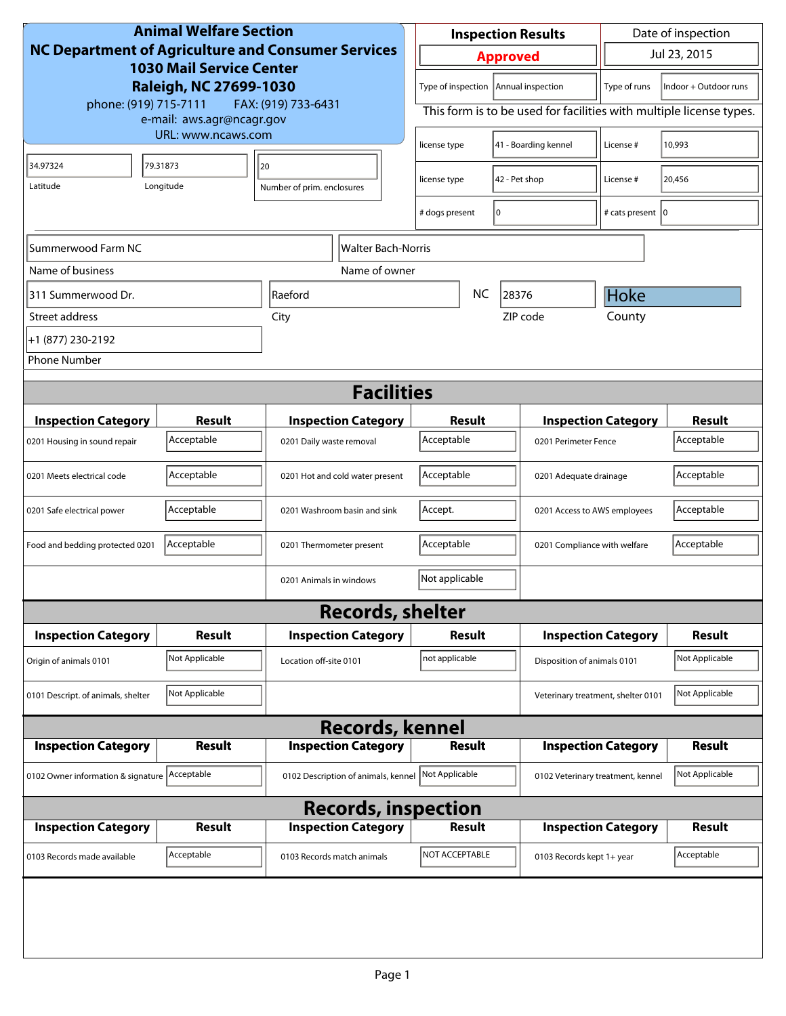| <b>Animal Welfare Section</b><br><b>NC Department of Agriculture and Consumer Services</b><br><b>1030 Mail Service Center</b><br>Raleigh, NC 27699-1030 |                    |                                     | <b>Inspection Results</b>                                           |                             | Date of inspection                 |                       |  |
|---------------------------------------------------------------------------------------------------------------------------------------------------------|--------------------|-------------------------------------|---------------------------------------------------------------------|-----------------------------|------------------------------------|-----------------------|--|
|                                                                                                                                                         |                    |                                     | <b>Approved</b>                                                     |                             | Jul 23, 2015                       |                       |  |
|                                                                                                                                                         |                    |                                     | Type of inspection   Annual inspection<br>Type of runs              |                             |                                    | Indoor + Outdoor runs |  |
| phone: (919) 715-7111<br>FAX: (919) 733-6431<br>e-mail: aws.agr@ncagr.gov                                                                               |                    |                                     | This form is to be used for facilities with multiple license types. |                             |                                    |                       |  |
|                                                                                                                                                         | URL: www.ncaws.com |                                     |                                                                     | 41 - Boarding kennel        | License #                          | 10,993                |  |
| 34.97324                                                                                                                                                | 79.31873           | 20                                  | 42 - Pet shop<br>license type                                       |                             | License #                          | 20,456                |  |
| Latitude                                                                                                                                                | Longitude          | Number of prim. enclosures          |                                                                     |                             |                                    |                       |  |
|                                                                                                                                                         |                    |                                     | # dogs present                                                      | 10                          | # cats present   0                 |                       |  |
| Summerwood Farm NC                                                                                                                                      |                    | Walter Bach-Norris                  |                                                                     |                             |                                    |                       |  |
| Name of business                                                                                                                                        |                    | Name of owner                       |                                                                     |                             |                                    |                       |  |
| 311 Summerwood Dr.                                                                                                                                      |                    | Raeford                             | <b>NC</b><br>28376                                                  |                             | Hoke                               |                       |  |
| Street address                                                                                                                                          |                    | City                                |                                                                     | ZIP code                    | County                             |                       |  |
| +1 (877) 230-2192                                                                                                                                       |                    |                                     |                                                                     |                             |                                    |                       |  |
| <b>Phone Number</b>                                                                                                                                     |                    |                                     |                                                                     |                             |                                    |                       |  |
| <b>Facilities</b>                                                                                                                                       |                    |                                     |                                                                     |                             |                                    |                       |  |
| <b>Inspection Category</b>                                                                                                                              | <b>Result</b>      | <b>Inspection Category</b>          | Result                                                              |                             | <b>Inspection Category</b>         | <b>Result</b>         |  |
| 0201 Housing in sound repair                                                                                                                            | Acceptable         | 0201 Daily waste removal            | Acceptable                                                          | 0201 Perimeter Fence        |                                    | Acceptable            |  |
| 0201 Meets electrical code                                                                                                                              | Acceptable         | 0201 Hot and cold water present     | Acceptable                                                          | 0201 Adequate drainage      |                                    | Acceptable            |  |
|                                                                                                                                                         |                    |                                     |                                                                     |                             |                                    |                       |  |
| 0201 Safe electrical power                                                                                                                              | Acceptable         | 0201 Washroom basin and sink        | Accept.<br>0201 Access to AWS employees                             |                             |                                    | Acceptable            |  |
| Food and bedding protected 0201                                                                                                                         | Acceptable         | 0201 Thermometer present            | Acceptable<br>0201 Compliance with welfare                          |                             |                                    | Acceptable            |  |
|                                                                                                                                                         |                    | 0201 Animals in windows             | Not applicable                                                      |                             |                                    |                       |  |
|                                                                                                                                                         |                    | <b>Records, shelter</b>             |                                                                     |                             |                                    |                       |  |
| <b>Inspection Category</b>                                                                                                                              | Result             | <b>Inspection Category</b>          | Result                                                              |                             | <b>Inspection Category</b>         | <b>Result</b>         |  |
| Origin of animals 0101                                                                                                                                  | Not Applicable     | Location off-site 0101              | not applicable                                                      | Disposition of animals 0101 |                                    | Not Applicable        |  |
| 0101 Descript. of animals, shelter                                                                                                                      | Not Applicable     |                                     |                                                                     |                             | Veterinary treatment, shelter 0101 | Not Applicable        |  |
| <b>Records, kennel</b>                                                                                                                                  |                    |                                     |                                                                     |                             |                                    |                       |  |
| <b>Inspection Category</b>                                                                                                                              | Result             | <b>Inspection Category</b>          | <b>Result</b>                                                       |                             | <b>Inspection Category</b>         | <b>Result</b>         |  |
| 0102 Owner information & signature Acceptable                                                                                                           |                    | 0102 Description of animals, kennel | Not Applicable                                                      |                             | 0102 Veterinary treatment, kennel  | Not Applicable        |  |
| <b>Records, inspection</b>                                                                                                                              |                    |                                     |                                                                     |                             |                                    |                       |  |
| <b>Inspection Category</b>                                                                                                                              | Result             | <b>Inspection Category</b>          | <b>Result</b>                                                       |                             | <b>Inspection Category</b>         | <b>Result</b>         |  |
| 0103 Records made available                                                                                                                             | Acceptable         | 0103 Records match animals          | NOT ACCEPTABLE                                                      | 0103 Records kept 1+ year   |                                    | Acceptable            |  |
|                                                                                                                                                         |                    |                                     |                                                                     |                             |                                    |                       |  |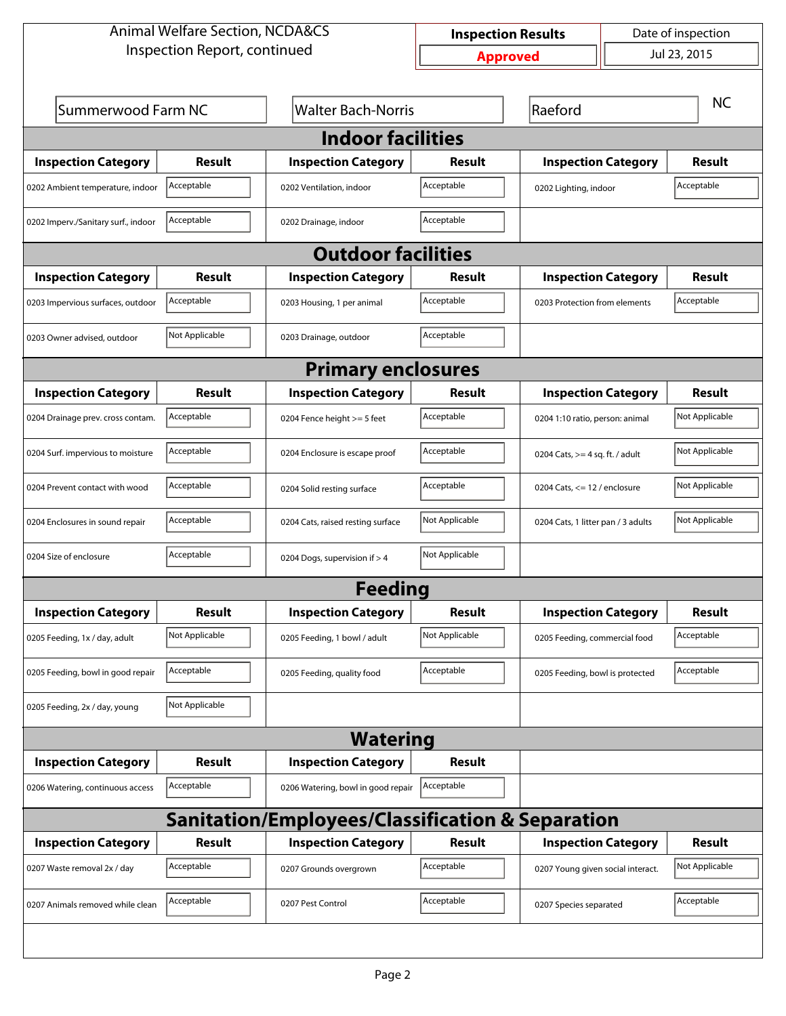| <b>Animal Welfare Section, NCDA&amp;CS</b>                  |                |                                    | Date of inspection<br><b>Inspection Results</b> |                                    |  |                |  |  |
|-------------------------------------------------------------|----------------|------------------------------------|-------------------------------------------------|------------------------------------|--|----------------|--|--|
| Inspection Report, continued                                |                |                                    | <b>Approved</b>                                 |                                    |  | Jul 23, 2015   |  |  |
|                                                             |                |                                    |                                                 |                                    |  |                |  |  |
| Summerwood Farm NC                                          |                | <b>Walter Bach-Norris</b>          |                                                 | Raeford                            |  | <b>NC</b>      |  |  |
| <b>Indoor facilities</b>                                    |                |                                    |                                                 |                                    |  |                |  |  |
| <b>Inspection Category</b>                                  | <b>Result</b>  | <b>Inspection Category</b>         | Result                                          | <b>Inspection Category</b>         |  | <b>Result</b>  |  |  |
| 0202 Ambient temperature, indoor                            | Acceptable     | 0202 Ventilation, indoor           | Acceptable                                      | 0202 Lighting, indoor              |  | Acceptable     |  |  |
| 0202 Imperv./Sanitary surf., indoor                         | Acceptable     | 0202 Drainage, indoor              | Acceptable                                      |                                    |  |                |  |  |
|                                                             |                | <b>Outdoor facilities</b>          |                                                 |                                    |  |                |  |  |
| <b>Inspection Category</b>                                  | Result         | <b>Inspection Category</b>         | Result                                          | <b>Inspection Category</b>         |  | <b>Result</b>  |  |  |
| 0203 Impervious surfaces, outdoor                           | Acceptable     | 0203 Housing, 1 per animal         | Acceptable                                      | 0203 Protection from elements      |  | Acceptable     |  |  |
| 0203 Owner advised, outdoor                                 | Not Applicable | 0203 Drainage, outdoor             | Acceptable                                      |                                    |  |                |  |  |
| <b>Primary enclosures</b>                                   |                |                                    |                                                 |                                    |  |                |  |  |
| <b>Inspection Category</b>                                  | Result         | <b>Inspection Category</b>         | Result                                          | <b>Inspection Category</b>         |  | <b>Result</b>  |  |  |
| 0204 Drainage prev. cross contam.                           | Acceptable     | 0204 Fence height >= 5 feet        | Acceptable                                      | 0204 1:10 ratio, person: animal    |  | Not Applicable |  |  |
| 0204 Surf. impervious to moisture                           | Acceptable     | 0204 Enclosure is escape proof     | Acceptable                                      | 0204 Cats, $>=$ 4 sq. ft. / adult  |  | Not Applicable |  |  |
| 0204 Prevent contact with wood                              | Acceptable     | 0204 Solid resting surface         | Acceptable                                      | 0204 Cats, $<= 12$ / enclosure     |  | Not Applicable |  |  |
| 0204 Enclosures in sound repair                             | Acceptable     | 0204 Cats, raised resting surface  | Not Applicable                                  | 0204 Cats, 1 litter pan / 3 adults |  | Not Applicable |  |  |
| 0204 Size of enclosure                                      | Acceptable     | 0204 Dogs, supervision if > 4      | Not Applicable                                  |                                    |  |                |  |  |
|                                                             |                | <b>Feeding</b>                     |                                                 |                                    |  |                |  |  |
| <b>Inspection Category</b>                                  | <b>Result</b>  | <b>Inspection Category</b>         | <b>Result</b>                                   | <b>Inspection Category</b>         |  | <b>Result</b>  |  |  |
| 0205 Feeding, 1x / day, adult                               | Not Applicable | 0205 Feeding, 1 bowl / adult       | Not Applicable                                  | 0205 Feeding, commercial food      |  | Acceptable     |  |  |
| 0205 Feeding, bowl in good repair                           | Acceptable     | 0205 Feeding, quality food         | Acceptable                                      | 0205 Feeding, bowl is protected    |  | Acceptable     |  |  |
| 0205 Feeding, 2x / day, young                               | Not Applicable |                                    |                                                 |                                    |  |                |  |  |
| <b>Watering</b>                                             |                |                                    |                                                 |                                    |  |                |  |  |
| <b>Inspection Category</b>                                  | <b>Result</b>  | <b>Inspection Category</b>         | <b>Result</b>                                   |                                    |  |                |  |  |
| 0206 Watering, continuous access                            | Acceptable     | 0206 Watering, bowl in good repair | Acceptable                                      |                                    |  |                |  |  |
| <b>Sanitation/Employees/Classification &amp; Separation</b> |                |                                    |                                                 |                                    |  |                |  |  |
| <b>Inspection Category</b>                                  | <b>Result</b>  | <b>Inspection Category</b>         | <b>Result</b>                                   | <b>Inspection Category</b>         |  | <b>Result</b>  |  |  |
| 0207 Waste removal 2x / day                                 | Acceptable     | 0207 Grounds overgrown             | Acceptable                                      | 0207 Young given social interact.  |  | Not Applicable |  |  |
| 0207 Animals removed while clean                            | Acceptable     | 0207 Pest Control                  | Acceptable                                      | 0207 Species separated             |  | Acceptable     |  |  |
|                                                             |                |                                    |                                                 |                                    |  |                |  |  |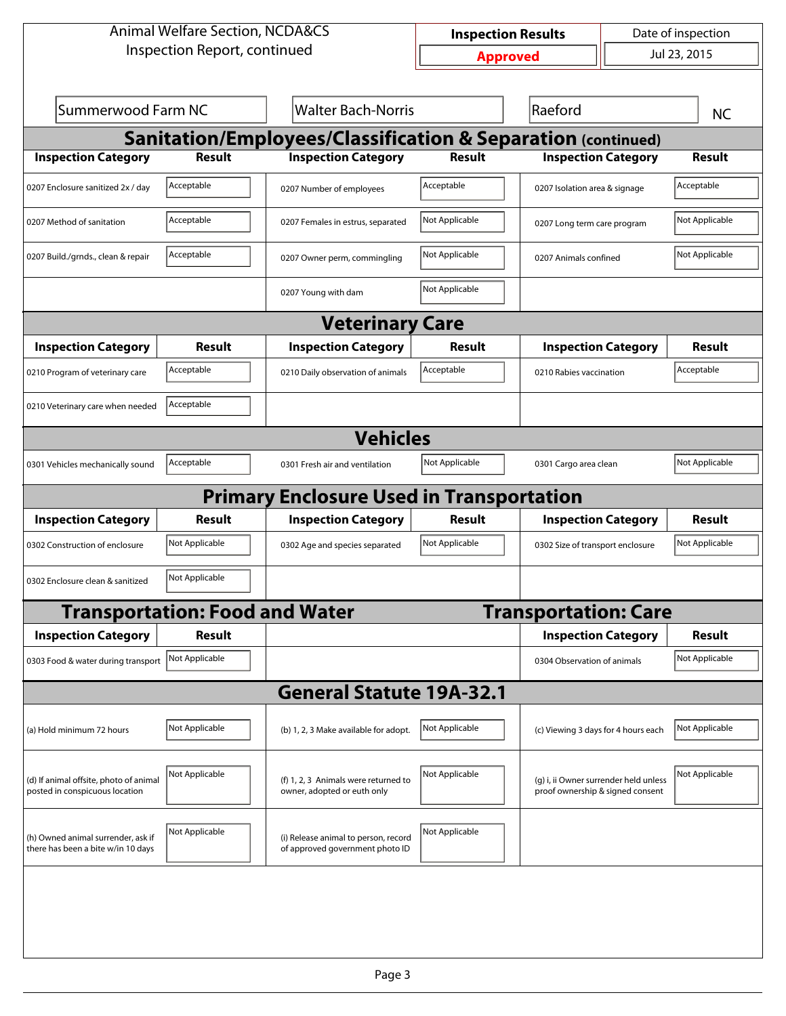| <b>Animal Welfare Section, NCDA&amp;CS</b>                               |                                       |                                                                         | Date of inspection<br><b>Inspection Results</b> |                                     |                                       |                |  |  |
|--------------------------------------------------------------------------|---------------------------------------|-------------------------------------------------------------------------|-------------------------------------------------|-------------------------------------|---------------------------------------|----------------|--|--|
| Inspection Report, continued                                             |                                       |                                                                         |                                                 | Jul 23, 2015<br><b>Approved</b>     |                                       |                |  |  |
|                                                                          |                                       |                                                                         |                                                 |                                     |                                       |                |  |  |
| Summerwood Farm NC                                                       |                                       | <b>Walter Bach-Norris</b>                                               |                                                 | Raeford                             |                                       | <b>NC</b>      |  |  |
| <b>Sanitation/Employees/Classification &amp; Separation (continued)</b>  |                                       |                                                                         |                                                 |                                     |                                       |                |  |  |
| <b>Inspection Category</b>                                               | <b>Result</b>                         | <b>Inspection Category</b>                                              | <b>Result</b>                                   | <b>Inspection Category</b>          |                                       | <b>Result</b>  |  |  |
| 0207 Enclosure sanitized 2x / day                                        | Acceptable                            | 0207 Number of employees                                                | Acceptable                                      | 0207 Isolation area & signage       |                                       | Acceptable     |  |  |
| 0207 Method of sanitation                                                | Acceptable                            | 0207 Females in estrus, separated                                       | Not Applicable                                  |                                     | 0207 Long term care program           |                |  |  |
| 0207 Build./grnds., clean & repair                                       | Acceptable                            | 0207 Owner perm, commingling                                            | Not Applicable                                  |                                     | 0207 Animals confined                 |                |  |  |
|                                                                          |                                       | 0207 Young with dam                                                     | Not Applicable                                  |                                     |                                       |                |  |  |
| <b>Veterinary Care</b>                                                   |                                       |                                                                         |                                                 |                                     |                                       |                |  |  |
| <b>Inspection Category</b>                                               | Result                                | <b>Inspection Category</b>                                              | Result                                          | <b>Inspection Category</b>          |                                       | Result         |  |  |
| 0210 Program of veterinary care                                          | Acceptable                            | 0210 Daily observation of animals                                       | Acceptable                                      | 0210 Rabies vaccination             |                                       | Acceptable     |  |  |
| 0210 Veterinary care when needed                                         | Acceptable                            |                                                                         |                                                 |                                     |                                       |                |  |  |
|                                                                          |                                       | <b>Vehicles</b>                                                         |                                                 |                                     |                                       |                |  |  |
| 0301 Vehicles mechanically sound                                         | Acceptable                            | 0301 Fresh air and ventilation                                          | Not Applicable                                  | 0301 Cargo area clean               |                                       | Not Applicable |  |  |
|                                                                          |                                       | <b>Primary Enclosure Used in Transportation</b>                         |                                                 |                                     |                                       |                |  |  |
| <b>Inspection Category</b>                                               | <b>Result</b>                         | <b>Inspection Category</b>                                              | <b>Result</b>                                   |                                     | <b>Inspection Category</b>            | Result         |  |  |
| 0302 Construction of enclosure                                           | Not Applicable                        | 0302 Age and species separated                                          | Not Applicable                                  | 0302 Size of transport enclosure    |                                       | Not Applicable |  |  |
| 0302 Enclosure clean & sanitized                                         | Not Applicable                        |                                                                         |                                                 |                                     |                                       |                |  |  |
|                                                                          | <b>Transportation: Food and Water</b> |                                                                         |                                                 | <b>Transportation: Care</b>         |                                       |                |  |  |
| <b>Inspection Category</b>                                               | <b>Result</b>                         |                                                                         |                                                 |                                     | <b>Inspection Category</b>            | Result         |  |  |
| 0303 Food & water during transport                                       | Not Applicable                        |                                                                         |                                                 | 0304 Observation of animals         |                                       | Not Applicable |  |  |
|                                                                          |                                       | <b>General Statute 19A-32.1</b>                                         |                                                 |                                     |                                       |                |  |  |
| (a) Hold minimum 72 hours                                                | Not Applicable                        | (b) 1, 2, 3 Make available for adopt.                                   | Not Applicable                                  | (c) Viewing 3 days for 4 hours each |                                       | Not Applicable |  |  |
| (d) If animal offsite, photo of animal<br>posted in conspicuous location | Not Applicable                        | (f) 1, 2, 3 Animals were returned to<br>owner, adopted or euth only     | Not Applicable                                  | proof ownership & signed consent    | (g) i, ii Owner surrender held unless | Not Applicable |  |  |
| (h) Owned animal surrender, ask if<br>there has been a bite w/in 10 days | Not Applicable                        | (i) Release animal to person, record<br>of approved government photo ID | Not Applicable                                  |                                     |                                       |                |  |  |
|                                                                          |                                       |                                                                         |                                                 |                                     |                                       |                |  |  |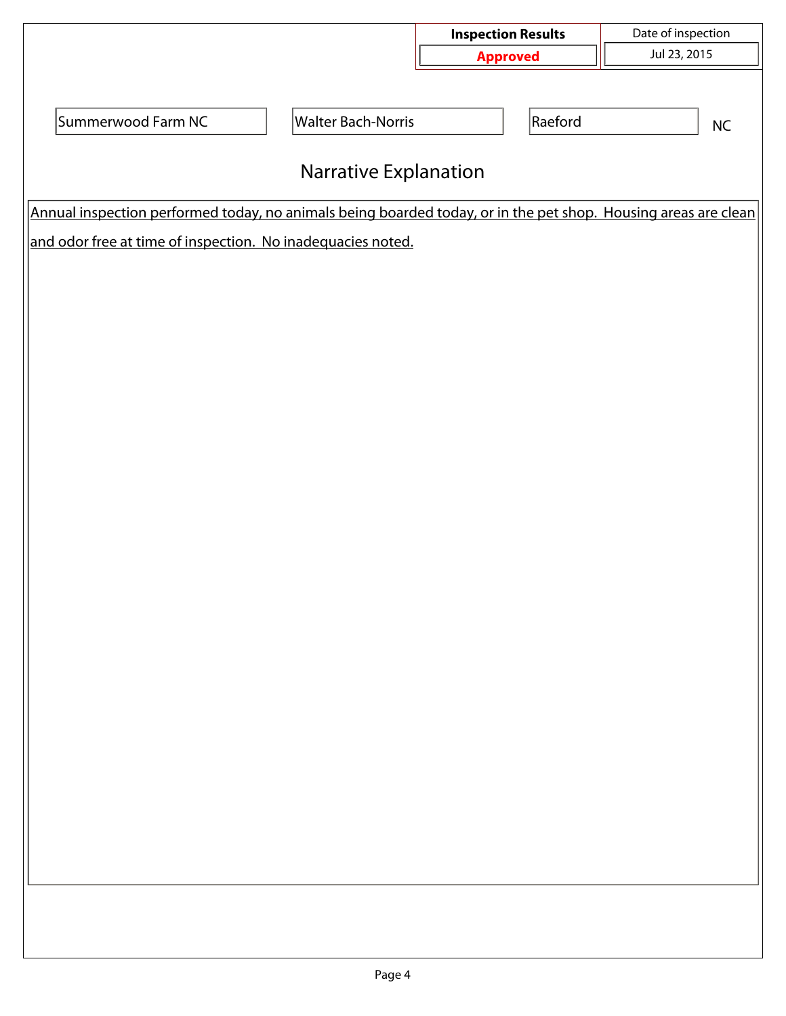|                                                                                                                |                           | <b>Inspection Results</b> | Date of inspection |  |  |  |  |  |
|----------------------------------------------------------------------------------------------------------------|---------------------------|---------------------------|--------------------|--|--|--|--|--|
|                                                                                                                |                           | <b>Approved</b>           | Jul 23, 2015       |  |  |  |  |  |
|                                                                                                                |                           |                           |                    |  |  |  |  |  |
| Summerwood Farm NC                                                                                             | <b>Walter Bach-Norris</b> | Raeford                   | $\sf NC$           |  |  |  |  |  |
|                                                                                                                |                           |                           |                    |  |  |  |  |  |
| <b>Narrative Explanation</b>                                                                                   |                           |                           |                    |  |  |  |  |  |
| Annual inspection performed today, no animals being boarded today, or in the pet shop. Housing areas are clean |                           |                           |                    |  |  |  |  |  |
| and odor free at time of inspection. No inadequacies noted.                                                    |                           |                           |                    |  |  |  |  |  |
|                                                                                                                |                           |                           |                    |  |  |  |  |  |
|                                                                                                                |                           |                           |                    |  |  |  |  |  |
|                                                                                                                |                           |                           |                    |  |  |  |  |  |
|                                                                                                                |                           |                           |                    |  |  |  |  |  |
|                                                                                                                |                           |                           |                    |  |  |  |  |  |
|                                                                                                                |                           |                           |                    |  |  |  |  |  |
|                                                                                                                |                           |                           |                    |  |  |  |  |  |
|                                                                                                                |                           |                           |                    |  |  |  |  |  |
|                                                                                                                |                           |                           |                    |  |  |  |  |  |
|                                                                                                                |                           |                           |                    |  |  |  |  |  |
|                                                                                                                |                           |                           |                    |  |  |  |  |  |
|                                                                                                                |                           |                           |                    |  |  |  |  |  |
|                                                                                                                |                           |                           |                    |  |  |  |  |  |
|                                                                                                                |                           |                           |                    |  |  |  |  |  |
|                                                                                                                |                           |                           |                    |  |  |  |  |  |
|                                                                                                                |                           |                           |                    |  |  |  |  |  |
|                                                                                                                |                           |                           |                    |  |  |  |  |  |
|                                                                                                                |                           |                           |                    |  |  |  |  |  |
|                                                                                                                |                           |                           |                    |  |  |  |  |  |
|                                                                                                                |                           |                           |                    |  |  |  |  |  |
|                                                                                                                |                           |                           |                    |  |  |  |  |  |
|                                                                                                                |                           |                           |                    |  |  |  |  |  |
|                                                                                                                |                           |                           |                    |  |  |  |  |  |
|                                                                                                                |                           |                           |                    |  |  |  |  |  |
|                                                                                                                |                           |                           |                    |  |  |  |  |  |